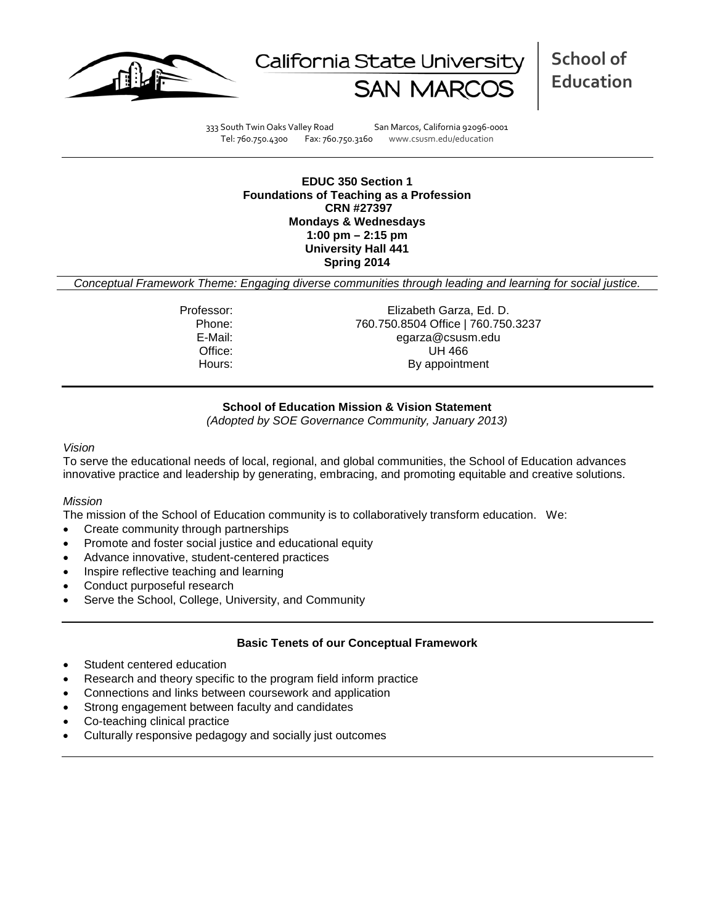



**School of Education**

333 South Twin Oaks Valley Road San Marcos, California 92096-0001 Tel: 760.750.4300 Fax: 760.750.3160 www.csusm.edu/education

**EDUC 350 Section 1 Foundations of Teaching as a Profession CRN #27397 Mondays & Wednesdays 1:00 pm – 2:15 pm University Hall 441 Spring 2014**

*Conceptual Framework Theme: Engaging diverse communities through leading and learning for social justice.*

Professor: Elizabeth Garza, Ed. D. Phone: 760.750.8504 Office | 760.750.3237<br>E-Mail: eqarza@csusm.edu egarza@csusm.edu Office: UH 466 Hours: By appointment

# **School of Education Mission & Vision Statement**

*(Adopted by SOE Governance Community, January 2013)*

#### *Vision*

To serve the educational needs of local, regional, and global communities, the School of Education advances innovative practice and leadership by generating, embracing, and promoting equitable and creative solutions.

## *Mission*

The mission of the School of Education community is to collaboratively transform education. We:

- Create community through partnerships
- Promote and foster social justice and educational equity
- Advance innovative, student-centered practices
- Inspire reflective teaching and learning
- Conduct purposeful research
- Serve the School, College, University, and Community

## **Basic Tenets of our Conceptual Framework**

- Student centered education
- Research and theory specific to the program field inform practice
- Connections and links between coursework and application
- Strong engagement between faculty and candidates
- Co-teaching clinical practice
- Culturally responsive pedagogy and socially just outcomes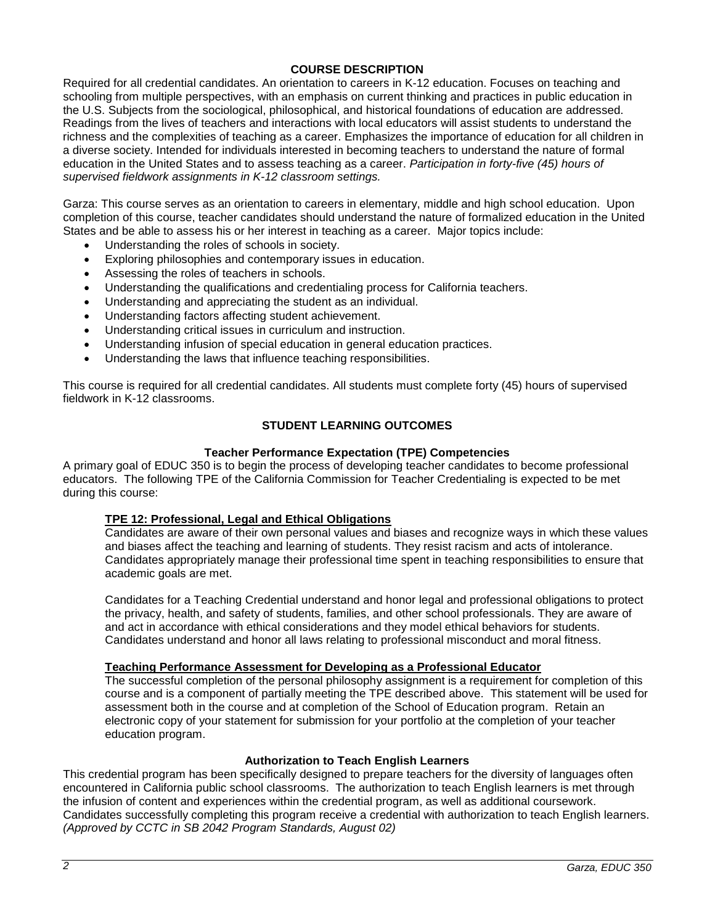# **COURSE DESCRIPTION**

Required for all credential candidates. An orientation to careers in K-12 education. Focuses on teaching and schooling from multiple perspectives, with an emphasis on current thinking and practices in public education in the U.S. Subjects from the sociological, philosophical, and historical foundations of education are addressed. Readings from the lives of teachers and interactions with local educators will assist students to understand the richness and the complexities of teaching as a career. Emphasizes the importance of education for all children in a diverse society. Intended for individuals interested in becoming teachers to understand the nature of formal education in the United States and to assess teaching as a career. *Participation in forty-five (45) hours of supervised fieldwork assignments in K-12 classroom settings.*

Garza: This course serves as an orientation to careers in elementary, middle and high school education. Upon completion of this course, teacher candidates should understand the nature of formalized education in the United States and be able to assess his or her interest in teaching as a career. Major topics include:

- Understanding the roles of schools in society.
- Exploring philosophies and contemporary issues in education.
- Assessing the roles of teachers in schools.
- Understanding the qualifications and credentialing process for California teachers.
- Understanding and appreciating the student as an individual.
- Understanding factors affecting student achievement.
- Understanding critical issues in curriculum and instruction.
- Understanding infusion of special education in general education practices.
- Understanding the laws that influence teaching responsibilities.

This course is required for all credential candidates. All students must complete forty (45) hours of supervised fieldwork in K-12 classrooms.

# **STUDENT LEARNING OUTCOMES**

# **Teacher Performance Expectation (TPE) Competencies**

A primary goal of EDUC 350 is to begin the process of developing teacher candidates to become professional educators. The following TPE of the California Commission for Teacher Credentialing is expected to be met during this course:

## **TPE 12: Professional, Legal and Ethical Obligations**

Candidates are aware of their own personal values and biases and recognize ways in which these values and biases affect the teaching and learning of students. They resist racism and acts of intolerance. Candidates appropriately manage their professional time spent in teaching responsibilities to ensure that academic goals are met.

Candidates for a Teaching Credential understand and honor legal and professional obligations to protect the privacy, health, and safety of students, families, and other school professionals. They are aware of and act in accordance with ethical considerations and they model ethical behaviors for students. Candidates understand and honor all laws relating to professional misconduct and moral fitness.

## **Teaching Performance Assessment for Developing as a Professional Educator**

The successful completion of the personal philosophy assignment is a requirement for completion of this course and is a component of partially meeting the TPE described above. This statement will be used for assessment both in the course and at completion of the School of Education program. Retain an electronic copy of your statement for submission for your portfolio at the completion of your teacher education program.

## **Authorization to Teach English Learners**

This credential program has been specifically designed to prepare teachers for the diversity of languages often encountered in California public school classrooms. The authorization to teach English learners is met through the infusion of content and experiences within the credential program, as well as additional coursework. Candidates successfully completing this program receive a credential with authorization to teach English learners. *(Approved by CCTC in SB 2042 Program Standards, August 02)*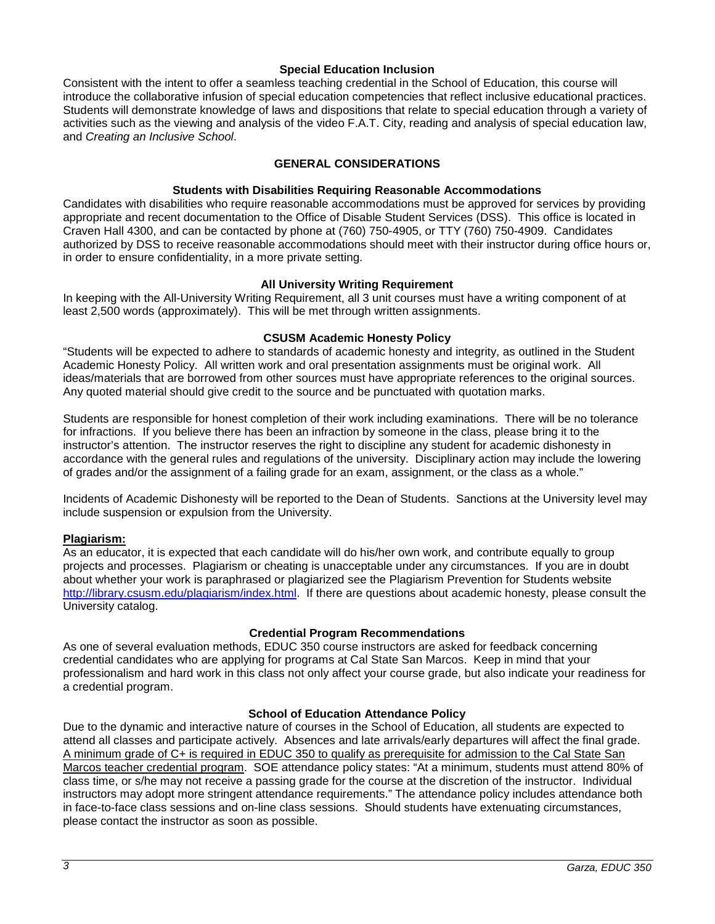## **Special Education Inclusion**

Consistent with the intent to offer a seamless teaching credential in the School of Education, this course will introduce the collaborative infusion of special education competencies that reflect inclusive educational practices. Students will demonstrate knowledge of laws and dispositions that relate to special education through a variety of activities such as the viewing and analysis of the video F.A.T. City, reading and analysis of special education law, and *Creating an Inclusive School*.

# **GENERAL CONSIDERATIONS**

# **Students with Disabilities Requiring Reasonable Accommodations**

Candidates with disabilities who require reasonable accommodations must be approved for services by providing appropriate and recent documentation to the Office of Disable Student Services (DSS). This office is located in Craven Hall 4300, and can be contacted by phone at (760) 750-4905, or TTY (760) 750-4909. Candidates authorized by DSS to receive reasonable accommodations should meet with their instructor during office hours or, in order to ensure confidentiality, in a more private setting.

# **All University Writing Requirement**

In keeping with the All-University Writing Requirement, all 3 unit courses must have a writing component of at least 2,500 words (approximately). This will be met through written assignments.

## **CSUSM Academic Honesty Policy**

"Students will be expected to adhere to standards of academic honesty and integrity, as outlined in the Student Academic Honesty Policy. All written work and oral presentation assignments must be original work. All ideas/materials that are borrowed from other sources must have appropriate references to the original sources. Any quoted material should give credit to the source and be punctuated with quotation marks.

Students are responsible for honest completion of their work including examinations. There will be no tolerance for infractions. If you believe there has been an infraction by someone in the class, please bring it to the instructor's attention. The instructor reserves the right to discipline any student for academic dishonesty in accordance with the general rules and regulations of the university. Disciplinary action may include the lowering of grades and/or the assignment of a failing grade for an exam, assignment, or the class as a whole."

Incidents of Academic Dishonesty will be reported to the Dean of Students. Sanctions at the University level may include suspension or expulsion from the University.

## **Plagiarism:**

As an educator, it is expected that each candidate will do his/her own work, and contribute equally to group projects and processes. Plagiarism or cheating is unacceptable under any circumstances. If you are in doubt about whether your work is paraphrased or plagiarized see the Plagiarism Prevention for Students website [http://library.csusm.edu/plagiarism/index.html.](http://library.csusm.edu/plagiarism/index.html) If there are questions about academic honesty, please consult the University catalog.

# **Credential Program Recommendations**

As one of several evaluation methods, EDUC 350 course instructors are asked for feedback concerning credential candidates who are applying for programs at Cal State San Marcos. Keep in mind that your professionalism and hard work in this class not only affect your course grade, but also indicate your readiness for a credential program.

## **School of Education Attendance Policy**

Due to the dynamic and interactive nature of courses in the School of Education, all students are expected to attend all classes and participate actively. Absences and late arrivals/early departures will affect the final grade. A minimum grade of C+ is required in EDUC 350 to qualify as prerequisite for admission to the Cal State San Marcos teacher credential program. SOE attendance policy states: "At a minimum, students must attend 80% of class time, or s/he may not receive a passing grade for the course at the discretion of the instructor. Individual instructors may adopt more stringent attendance requirements." The attendance policy includes attendance both in face-to-face class sessions and on-line class sessions. Should students have extenuating circumstances, please contact the instructor as soon as possible.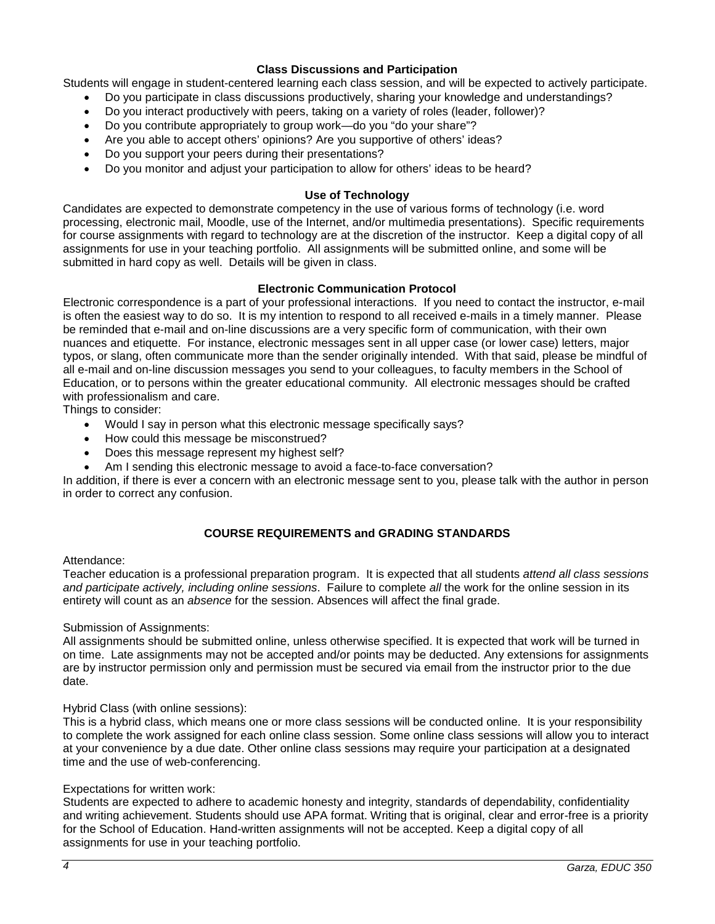# **Class Discussions and Participation**

Students will engage in student-centered learning each class session, and will be expected to actively participate.

- Do you participate in class discussions productively, sharing your knowledge and understandings?
- Do you interact productively with peers, taking on a variety of roles (leader, follower)?
- Do you contribute appropriately to group work—do you "do your share"?
- Are you able to accept others' opinions? Are you supportive of others' ideas?
- Do you support your peers during their presentations?
- Do you monitor and adjust your participation to allow for others' ideas to be heard?

## **Use of Technology**

Candidates are expected to demonstrate competency in the use of various forms of technology (i.e. word processing, electronic mail, Moodle, use of the Internet, and/or multimedia presentations). Specific requirements for course assignments with regard to technology are at the discretion of the instructor. Keep a digital copy of all assignments for use in your teaching portfolio. All assignments will be submitted online, and some will be submitted in hard copy as well. Details will be given in class.

#### **Electronic Communication Protocol**

Electronic correspondence is a part of your professional interactions. If you need to contact the instructor, e-mail is often the easiest way to do so. It is my intention to respond to all received e-mails in a timely manner. Please be reminded that e-mail and on-line discussions are a very specific form of communication, with their own nuances and etiquette. For instance, electronic messages sent in all upper case (or lower case) letters, major typos, or slang, often communicate more than the sender originally intended. With that said, please be mindful of all e-mail and on-line discussion messages you send to your colleagues, to faculty members in the School of Education, or to persons within the greater educational community. All electronic messages should be crafted with professionalism and care.

Things to consider:

- Would I say in person what this electronic message specifically says?
- How could this message be misconstrued?
- Does this message represent my highest self?
- Am I sending this electronic message to avoid a face-to-face conversation?

In addition, if there is ever a concern with an electronic message sent to you, please talk with the author in person in order to correct any confusion.

# **COURSE REQUIREMENTS and GRADING STANDARDS**

#### Attendance:

Teacher education is a professional preparation program. It is expected that all students *attend all class sessions and participate actively, including online sessions*. Failure to complete *all* the work for the online session in its entirety will count as an *absence* for the session. Absences will affect the final grade.

Submission of Assignments:

All assignments should be submitted online, unless otherwise specified. It is expected that work will be turned in on time. Late assignments may not be accepted and/or points may be deducted. Any extensions for assignments are by instructor permission only and permission must be secured via email from the instructor prior to the due date.

## Hybrid Class (with online sessions):

This is a hybrid class, which means one or more class sessions will be conducted online. It is your responsibility to complete the work assigned for each online class session. Some online class sessions will allow you to interact at your convenience by a due date. Other online class sessions may require your participation at a designated time and the use of web-conferencing.

## Expectations for written work:

Students are expected to adhere to academic honesty and integrity, standards of dependability, confidentiality and writing achievement. Students should use APA format. Writing that is original, clear and error-free is a priority for the School of Education. Hand-written assignments will not be accepted. Keep a digital copy of all assignments for use in your teaching portfolio.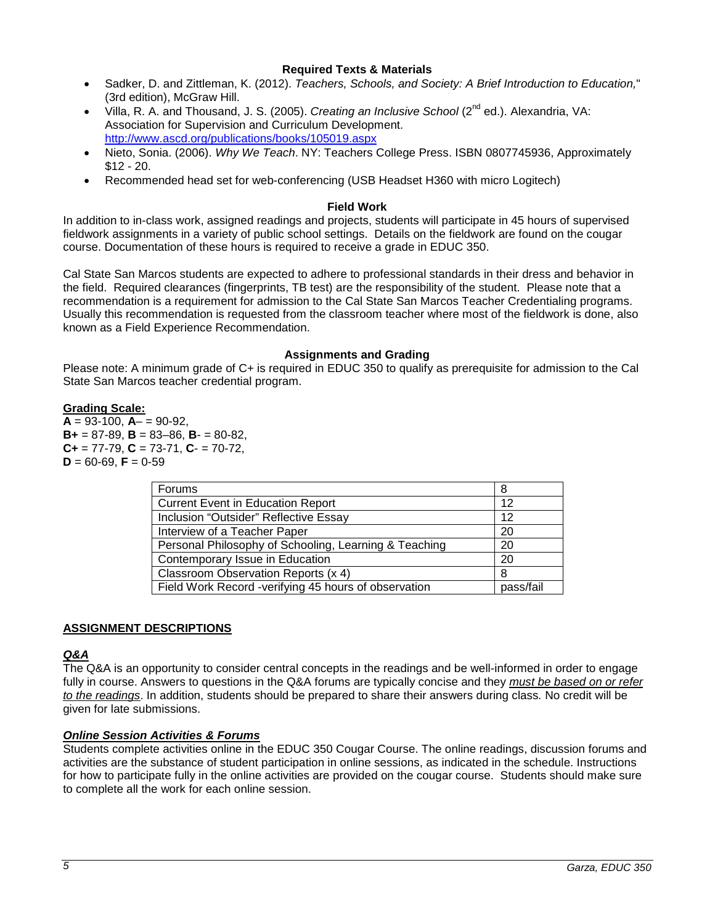# **Required Texts & Materials**

- Sadker, D. and Zittleman, K. (2012). *Teachers, Schools, and Society: A Brief Introduction to Education,*" (3rd edition), McGraw Hill.
- Villa, R. A. and Thousand, J. S. (2005). *Creating an Inclusive School* (2nd ed.). Alexandria, VA: Association for Supervision and Curriculum Development. <http://www.ascd.org/publications/books/105019.aspx>
- Nieto, Sonia. (2006). *Why We Teach*. NY: Teachers College Press. ISBN 0807745936, Approximately \$12 - 20.
- Recommended head set for web-conferencing (USB Headset H360 with micro Logitech)

# **Field Work**

In addition to in-class work, assigned readings and projects, students will participate in 45 hours of supervised fieldwork assignments in a variety of public school settings. Details on the fieldwork are found on the cougar course. Documentation of these hours is required to receive a grade in EDUC 350.

Cal State San Marcos students are expected to adhere to professional standards in their dress and behavior in the field. Required clearances (fingerprints, TB test) are the responsibility of the student. Please note that a recommendation is a requirement for admission to the Cal State San Marcos Teacher Credentialing programs. Usually this recommendation is requested from the classroom teacher where most of the fieldwork is done, also known as a Field Experience Recommendation.

# **Assignments and Grading**

Please note: A minimum grade of C+ is required in EDUC 350 to qualify as prerequisite for admission to the Cal State San Marcos teacher credential program.

# **Grading Scale:**

 $A = 93-100$ ,  $A = 90-92$ , **B+** = 87-89, **B** = 83–86, **B**- = 80-82, **C+** = 77-79, **C** = 73-71, **C**- = 70-72,  $D = 60 - 69$ ,  $F = 0 - 59$ 

| Forums                                                | 8         |
|-------------------------------------------------------|-----------|
| <b>Current Event in Education Report</b>              | 12        |
| Inclusion "Outsider" Reflective Essay                 | 12        |
| Interview of a Teacher Paper                          | 20        |
| Personal Philosophy of Schooling, Learning & Teaching | 20        |
| Contemporary Issue in Education                       | 20        |
| Classroom Observation Reports (x 4)                   | 8         |
| Field Work Record -verifying 45 hours of observation  | pass/fail |

# **ASSIGNMENT DESCRIPTIONS**

# *Q&A*

The Q&A is an opportunity to consider central concepts in the readings and be well-informed in order to engage fully in course. Answers to questions in the Q&A forums are typically concise and they *must be based on or refer to the readings*. In addition, students should be prepared to share their answers during class*.* No credit will be given for late submissions.

## *Online Session Activities & Forums*

Students complete activities online in the EDUC 350 Cougar Course. The online readings, discussion forums and activities are the substance of student participation in online sessions, as indicated in the schedule. Instructions for how to participate fully in the online activities are provided on the cougar course. Students should make sure to complete all the work for each online session.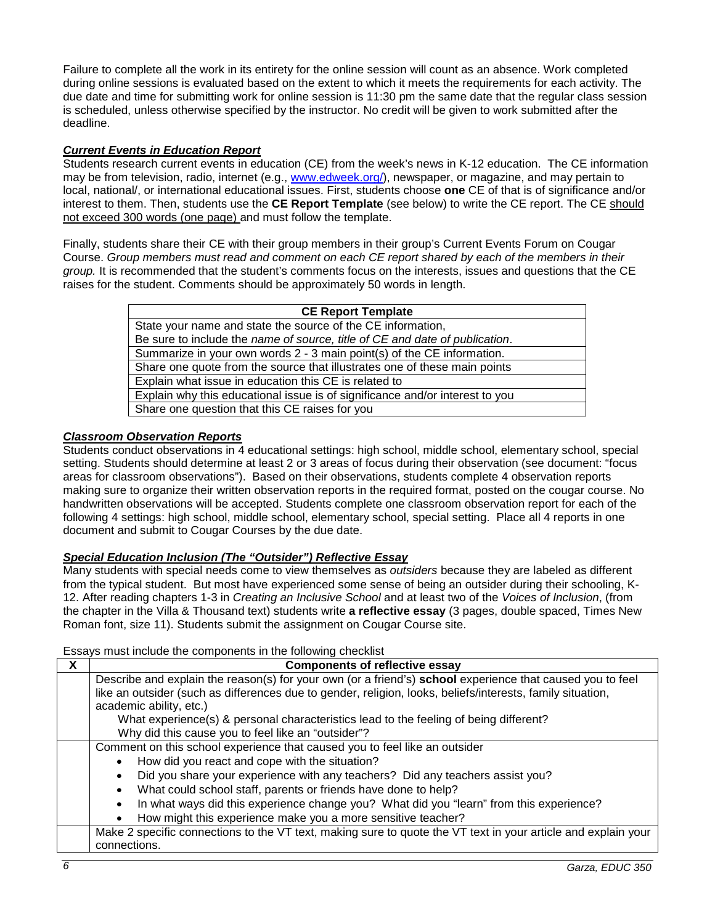Failure to complete all the work in its entirety for the online session will count as an absence. Work completed during online sessions is evaluated based on the extent to which it meets the requirements for each activity. The due date and time for submitting work for online session is 11:30 pm the same date that the regular class session is scheduled, unless otherwise specified by the instructor. No credit will be given to work submitted after the deadline.

# *Current Events in Education Report*

Students research current events in education (CE) from the week's news in K-12 education. The CE information may be from television, radio, internet (e.g., [www.edweek.org/\)](http://www.edweek.org/), newspaper, or magazine, and may pertain to local, national/, or international educational issues. First, students choose **one** CE of that is of significance and/or interest to them. Then, students use the **CE Report Template** (see below) to write the CE report. The CE should not exceed 300 words (one page) and must follow the template.

Finally, students share their CE with their group members in their group's Current Events Forum on Cougar Course. *Group members must read and comment on each CE report shared by each of the members in their group.* It is recommended that the student's comments focus on the interests, issues and questions that the CE raises for the student. Comments should be approximately 50 words in length.

| <b>CE Report Template</b>                                                    |  |  |
|------------------------------------------------------------------------------|--|--|
| State your name and state the source of the CE information,                  |  |  |
| Be sure to include the name of source, title of CE and date of publication.  |  |  |
| Summarize in your own words 2 - 3 main point(s) of the CE information.       |  |  |
| Share one quote from the source that illustrates one of these main points    |  |  |
| Explain what issue in education this CE is related to                        |  |  |
| Explain why this educational issue is of significance and/or interest to you |  |  |
| Share one question that this CE raises for you                               |  |  |

# *Classroom Observation Reports*

Students conduct observations in 4 educational settings: high school, middle school, elementary school, special setting. Students should determine at least 2 or 3 areas of focus during their observation (see document: "focus areas for classroom observations"). Based on their observations, students complete 4 observation reports making sure to organize their written observation reports in the required format, posted on the cougar course. No handwritten observations will be accepted. Students complete one classroom observation report for each of the following 4 settings: high school, middle school, elementary school, special setting. Place all 4 reports in one document and submit to Cougar Courses by the due date.

# *Special Education Inclusion (The "Outsider") Reflective Essay*

Many students with special needs come to view themselves as *outsiders* because they are labeled as different from the typical student. But most have experienced some sense of being an outsider during their schooling, K-12. After reading chapters 1-3 in *Creating an Inclusive School* and at least two of the *Voices of Inclusion*, (from the chapter in the Villa & Thousand text) students write **a reflective essay** (3 pages, double spaced, Times New Roman font, size 11). Students submit the assignment on Cougar Course site.

## Essays must include the components in the following checklist

| <b>Components of reflective essay</b>                                                                         |  |
|---------------------------------------------------------------------------------------------------------------|--|
| Describe and explain the reason(s) for your own (or a friend's) school experience that caused you to feel     |  |
| like an outsider (such as differences due to gender, religion, looks, beliefs/interests, family situation,    |  |
| academic ability, etc.)                                                                                       |  |
| What experience(s) & personal characteristics lead to the feeling of being different?                         |  |
| Why did this cause you to feel like an "outsider"?                                                            |  |
| Comment on this school experience that caused you to feel like an outsider                                    |  |
| How did you react and cope with the situation?<br>$\bullet$                                                   |  |
| Did you share your experience with any teachers? Did any teachers assist you?                                 |  |
| What could school staff, parents or friends have done to help?                                                |  |
| In what ways did this experience change you? What did you "learn" from this experience?<br>$\bullet$          |  |
| How might this experience make you a more sensitive teacher?                                                  |  |
| Make 2 specific connections to the VT text, making sure to quote the VT text in your article and explain your |  |
| connections.                                                                                                  |  |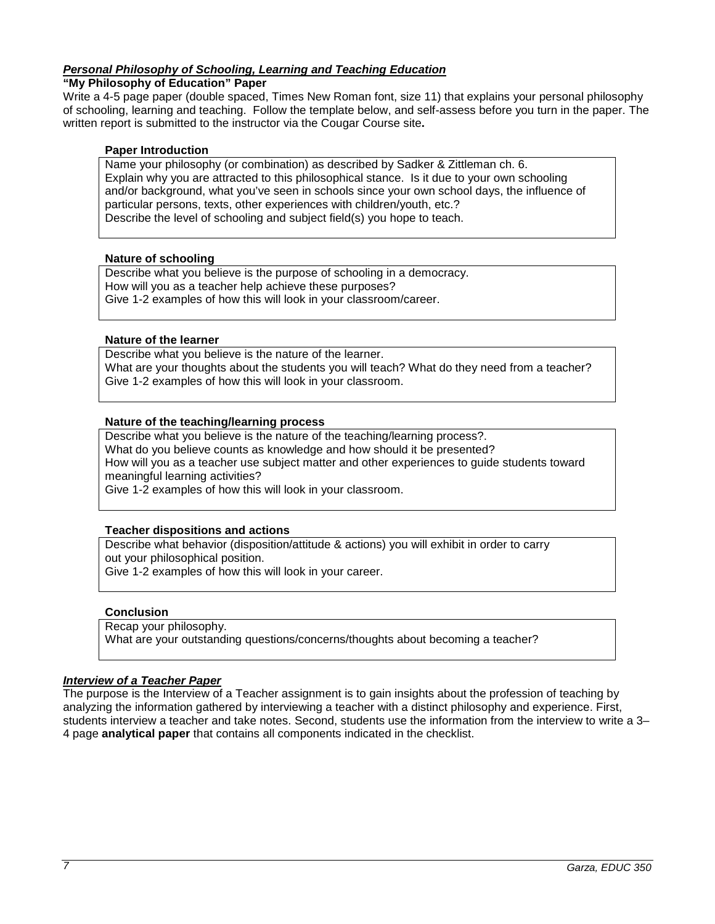# *Personal Philosophy of Schooling, Learning and Teaching Education*

## **"My Philosophy of Education" Paper**

Write a 4-5 page paper (double spaced, Times New Roman font, size 11) that explains your personal philosophy of schooling, learning and teaching. Follow the template below, and self-assess before you turn in the paper. The written report is submitted to the instructor via the Cougar Course site**.**

#### **Paper Introduction**

Name your philosophy (or combination) as described by Sadker & Zittleman ch. 6. Explain why you are attracted to this philosophical stance. Is it due to your own schooling and/or background, what you've seen in schools since your own school days, the influence of particular persons, texts, other experiences with children/youth, etc.? Describe the level of schooling and subject field(s) you hope to teach.

#### **Nature of schooling**

Describe what you believe is the purpose of schooling in a democracy. How will you as a teacher help achieve these purposes? Give 1-2 examples of how this will look in your classroom/career.

#### **Nature of the learner**

Describe what you believe is the nature of the learner. What are your thoughts about the students you will teach? What do they need from a teacher? Give 1-2 examples of how this will look in your classroom.

#### **Nature of the teaching/learning process**

Describe what you believe is the nature of the teaching/learning process?.

What do you believe counts as knowledge and how should it be presented?

How will you as a teacher use subject matter and other experiences to guide students toward meaningful learning activities?

Give 1-2 examples of how this will look in your classroom.

## **Teacher dispositions and actions**

Describe what behavior (disposition/attitude & actions) you will exhibit in order to carry out your philosophical position.

Give 1-2 examples of how this will look in your career.

## **Conclusion**

Recap your philosophy.

What are your outstanding questions/concerns/thoughts about becoming a teacher?

# *Interview of a Teacher Paper*

The purpose is the Interview of a Teacher assignment is to gain insights about the profession of teaching by analyzing the information gathered by interviewing a teacher with a distinct philosophy and experience. First, students interview a teacher and take notes. Second, students use the information from the interview to write a 3– 4 page **analytical paper** that contains all components indicated in the checklist.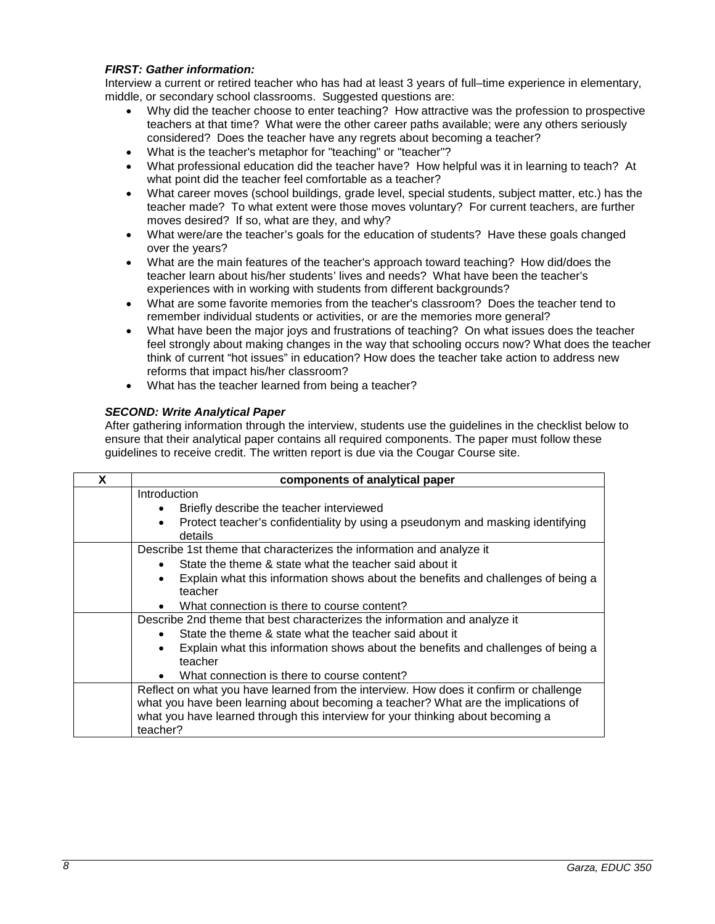# *FIRST: Gather information:*

Interview a current or retired teacher who has had at least 3 years of full–time experience in elementary, middle, or secondary school classrooms. Suggested questions are:

- Why did the teacher choose to enter teaching? How attractive was the profession to prospective teachers at that time? What were the other career paths available; were any others seriously considered? Does the teacher have any regrets about becoming a teacher?
- What is the teacher's metaphor for "teaching" or "teacher"?
- What professional education did the teacher have? How helpful was it in learning to teach? At what point did the teacher feel comfortable as a teacher?
- What career moves (school buildings, grade level, special students, subject matter, etc.) has the teacher made? To what extent were those moves voluntary? For current teachers, are further moves desired? If so, what are they, and why?
- What were/are the teacher's goals for the education of students? Have these goals changed over the years?
- What are the main features of the teacher's approach toward teaching? How did/does the teacher learn about his/her students' lives and needs? What have been the teacher's experiences with in working with students from different backgrounds?
- What are some favorite memories from the teacher's classroom? Does the teacher tend to remember individual students or activities, or are the memories more general?
- What have been the major joys and frustrations of teaching? On what issues does the teacher feel strongly about making changes in the way that schooling occurs now? What does the teacher think of current "hot issues" in education? How does the teacher take action to address new reforms that impact his/her classroom?
- What has the teacher learned from being a teacher?

# *SECOND: Write Analytical Paper*

After gathering information through the interview, students use the guidelines in the checklist below to ensure that their analytical paper contains all required components. The paper must follow these guidelines to receive credit. The written report is due via the Cougar Course site.

| X | components of analytical paper                                                                                                                                              |  |
|---|-----------------------------------------------------------------------------------------------------------------------------------------------------------------------------|--|
|   | Introduction                                                                                                                                                                |  |
|   | Briefly describe the teacher interviewed                                                                                                                                    |  |
|   | Protect teacher's confidentiality by using a pseudonym and masking identifying<br>$\bullet$<br>details                                                                      |  |
|   | Describe 1st theme that characterizes the information and analyze it                                                                                                        |  |
|   | State the theme & state what the teacher said about it                                                                                                                      |  |
|   | Explain what this information shows about the benefits and challenges of being a<br>teacher                                                                                 |  |
|   | What connection is there to course content?<br>$\bullet$                                                                                                                    |  |
|   | Describe 2nd theme that best characterizes the information and analyze it                                                                                                   |  |
|   | State the theme & state what the teacher said about it                                                                                                                      |  |
|   | Explain what this information shows about the benefits and challenges of being a<br>teacher                                                                                 |  |
|   | What connection is there to course content?<br>$\bullet$                                                                                                                    |  |
|   | Reflect on what you have learned from the interview. How does it confirm or challenge<br>what you have been learning about becoming a teacher? What are the implications of |  |
|   | what you have learned through this interview for your thinking about becoming a<br>teacher?                                                                                 |  |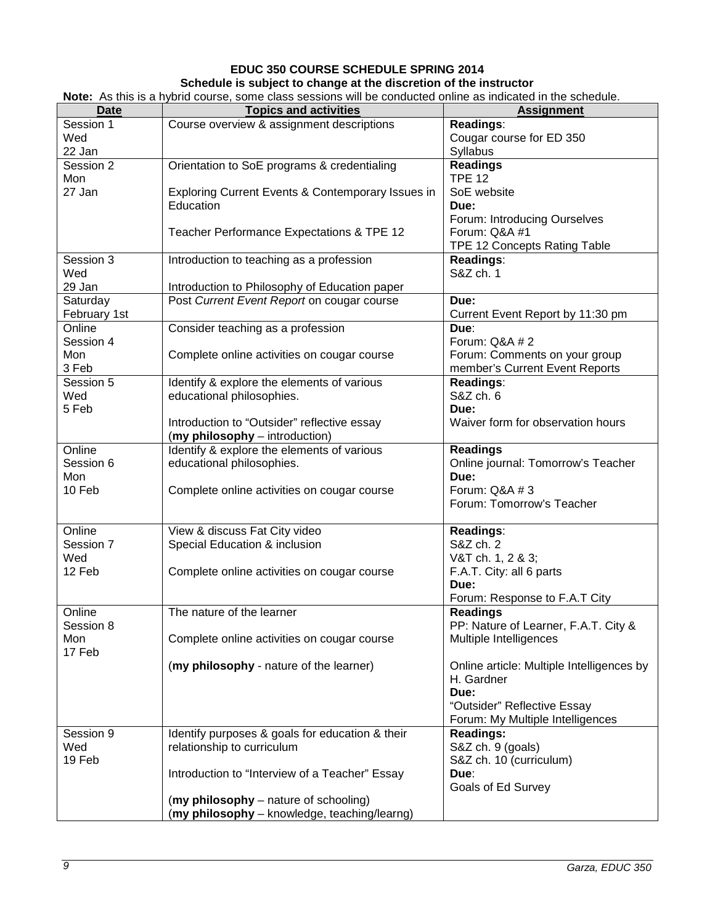# **EDUC 350 COURSE SCHEDULE SPRING 2014**

#### **Schedule is subject to change at the discretion of the instructor**

| <b>Date</b>  | <b>Topics and activities</b>                      | <b>Assignment</b>                         |
|--------------|---------------------------------------------------|-------------------------------------------|
| Session 1    | Course overview & assignment descriptions         | Readings:                                 |
| Wed          |                                                   | Cougar course for ED 350                  |
| 22 Jan       |                                                   | Syllabus                                  |
| Session 2    |                                                   |                                           |
|              | Orientation to SoE programs & credentialing       | <b>Readings</b>                           |
| Mon          |                                                   | <b>TPE 12</b>                             |
| 27 Jan       | Exploring Current Events & Contemporary Issues in | SoE website                               |
|              | Education                                         | Due:                                      |
|              |                                                   | Forum: Introducing Ourselves              |
|              | Teacher Performance Expectations & TPE 12         | Forum: Q&A #1                             |
|              |                                                   | TPE 12 Concepts Rating Table              |
|              |                                                   |                                           |
| Session 3    | Introduction to teaching as a profession          | Readings:                                 |
| Wed          |                                                   | S&Z ch. 1                                 |
| 29 Jan       | Introduction to Philosophy of Education paper     |                                           |
| Saturday     | Post Current Event Report on cougar course        | Due:                                      |
| February 1st |                                                   | Current Event Report by 11:30 pm          |
| Online       | Consider teaching as a profession                 | Due:                                      |
|              |                                                   |                                           |
| Session 4    |                                                   | Forum: Q&A # 2                            |
| Mon          | Complete online activities on cougar course       | Forum: Comments on your group             |
| 3 Feb        |                                                   | member's Current Event Reports            |
| Session 5    | Identify & explore the elements of various        | Readings:                                 |
| Wed          | educational philosophies.                         | S&Z ch. 6                                 |
| 5 Feb        |                                                   | Due:                                      |
|              | Introduction to "Outsider" reflective essay       | Waiver form for observation hours         |
|              |                                                   |                                           |
|              | (my philosophy - introduction)                    |                                           |
| Online       | Identify & explore the elements of various        | <b>Readings</b>                           |
| Session 6    | educational philosophies.                         | Online journal: Tomorrow's Teacher        |
| Mon          |                                                   | Due:                                      |
| 10 Feb       | Complete online activities on cougar course       | Forum: Q&A # 3                            |
|              |                                                   | Forum: Tomorrow's Teacher                 |
|              |                                                   |                                           |
| Online       | View & discuss Fat City video                     |                                           |
|              |                                                   | Readings:                                 |
| Session 7    | Special Education & inclusion                     | S&Z ch. 2                                 |
| Wed          |                                                   | V&T ch. 1, 2 & 3;                         |
| 12 Feb       | Complete online activities on cougar course       | F.A.T. City: all 6 parts                  |
|              |                                                   | Due:                                      |
|              |                                                   | Forum: Response to F.A.T City             |
| Online       | The nature of the learner                         | <b>Readings</b>                           |
| Session 8    |                                                   | PP: Nature of Learner, F.A.T. City &      |
|              |                                                   |                                           |
| Mon          | Complete online activities on cougar course       | Multiple Intelligences                    |
| 17 Feb       |                                                   |                                           |
|              | (my philosophy - nature of the learner)           | Online article: Multiple Intelligences by |
|              |                                                   | H. Gardner                                |
|              |                                                   | Due:                                      |
|              |                                                   | "Outsider" Reflective Essay               |
|              |                                                   | Forum: My Multiple Intelligences          |
|              |                                                   |                                           |
| Session 9    | Identify purposes & goals for education & their   | <b>Readings:</b>                          |
| Wed          | relationship to curriculum                        | S&Z ch. 9 (goals)                         |
| 19 Feb       |                                                   | S&Z ch. 10 (curriculum)                   |
|              | Introduction to "Interview of a Teacher" Essay    | Due:                                      |
|              |                                                   | Goals of Ed Survey                        |
|              | (my philosophy – nature of schooling)             |                                           |
|              | (my philosophy - knowledge, teaching/learng)      |                                           |
|              |                                                   |                                           |

**Note:** As this is a hybrid course, some class sessions will be conducted online as indicated in the schedule.

 $\Gamma$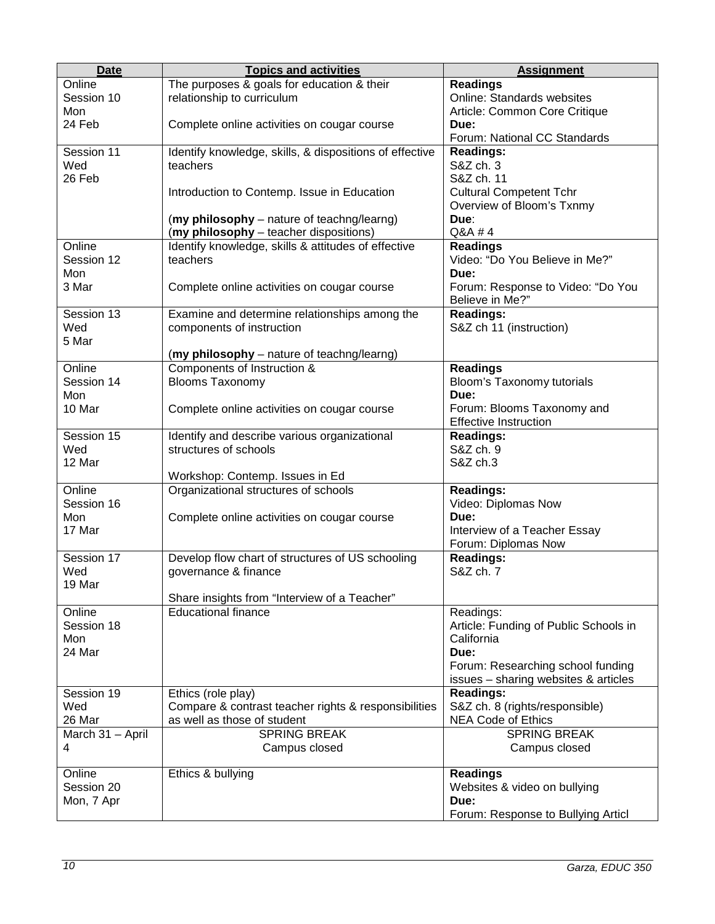| <b>Date</b>      | <b>Topics and activities</b>                            | <b>Assignment</b>                     |
|------------------|---------------------------------------------------------|---------------------------------------|
| Online           | The purposes & goals for education & their              | <b>Readings</b>                       |
| Session 10       | relationship to curriculum                              | <b>Online: Standards websites</b>     |
| Mon              |                                                         | Article: Common Core Critique         |
| 24 Feb           | Complete online activities on cougar course             | Due:                                  |
|                  |                                                         | Forum: National CC Standards          |
| Session 11       | Identify knowledge, skills, & dispositions of effective | <b>Readings:</b>                      |
| Wed              | teachers                                                | S&Z ch. 3                             |
| 26 Feb           |                                                         | S&Z ch. 11                            |
|                  | Introduction to Contemp. Issue in Education             | <b>Cultural Competent Tchr</b>        |
|                  |                                                         | Overview of Bloom's Txnmy             |
|                  | (my philosophy – nature of teachng/learng)              | Due:                                  |
|                  | (my philosophy - teacher dispositions)                  | Q&A #4                                |
| Online           | Identify knowledge, skills & attitudes of effective     | <b>Readings</b>                       |
| Session 12       | teachers                                                | Video: "Do You Believe in Me?"        |
| Mon              |                                                         | Due:                                  |
| 3 Mar            | Complete online activities on cougar course             | Forum: Response to Video: "Do You     |
|                  |                                                         | Believe in Me?"                       |
| Session 13       | Examine and determine relationships among the           | <b>Readings:</b>                      |
| Wed              | components of instruction                               | S&Z ch 11 (instruction)               |
| 5 Mar            |                                                         |                                       |
|                  | (my philosophy - nature of teachng/learng)              |                                       |
| Online           | Components of Instruction &                             | <b>Readings</b>                       |
| Session 14       | <b>Blooms Taxonomy</b>                                  | Bloom's Taxonomy tutorials            |
| Mon              |                                                         | Due:                                  |
| 10 Mar           | Complete online activities on cougar course             | Forum: Blooms Taxonomy and            |
|                  |                                                         | <b>Effective Instruction</b>          |
| Session 15       | Identify and describe various organizational            | <b>Readings:</b>                      |
| Wed              | structures of schools                                   | S&Z ch. 9                             |
| 12 Mar           |                                                         | S&Z ch.3                              |
|                  | Workshop: Contemp. Issues in Ed                         |                                       |
| Online           | Organizational structures of schools                    | <b>Readings:</b>                      |
| Session 16       |                                                         | Video: Diplomas Now                   |
| Mon              | Complete online activities on cougar course             | Due:                                  |
| 17 Mar           |                                                         | Interview of a Teacher Essay          |
|                  |                                                         | Forum: Diplomas Now                   |
| Session 17       | Develop flow chart of structures of US schooling        | <b>Readings:</b>                      |
| Wed              | governance & finance                                    | S&Z ch. 7                             |
| 19 Mar           |                                                         |                                       |
|                  | Share insights from "Interview of a Teacher"            |                                       |
| Online           | <b>Educational finance</b>                              | Readings:                             |
| Session 18       |                                                         | Article: Funding of Public Schools in |
| Mon              |                                                         | California                            |
| 24 Mar           |                                                         | Due:                                  |
|                  |                                                         | Forum: Researching school funding     |
|                  |                                                         | issues - sharing websites & articles  |
| Session 19       | Ethics (role play)                                      | <b>Readings:</b>                      |
| Wed              | Compare & contrast teacher rights & responsibilities    | S&Z ch. 8 (rights/responsible)        |
| 26 Mar           | as well as those of student                             | <b>NEA Code of Ethics</b>             |
| March 31 - April | <b>SPRING BREAK</b>                                     | <b>SPRING BREAK</b>                   |
| 4                | Campus closed                                           | Campus closed                         |
|                  |                                                         |                                       |
| Online           | Ethics & bullying                                       | <b>Readings</b>                       |
| Session 20       |                                                         | Websites & video on bullying          |
| Mon, 7 Apr       |                                                         | Due:                                  |
|                  |                                                         | Forum: Response to Bullying Articl    |
|                  |                                                         |                                       |